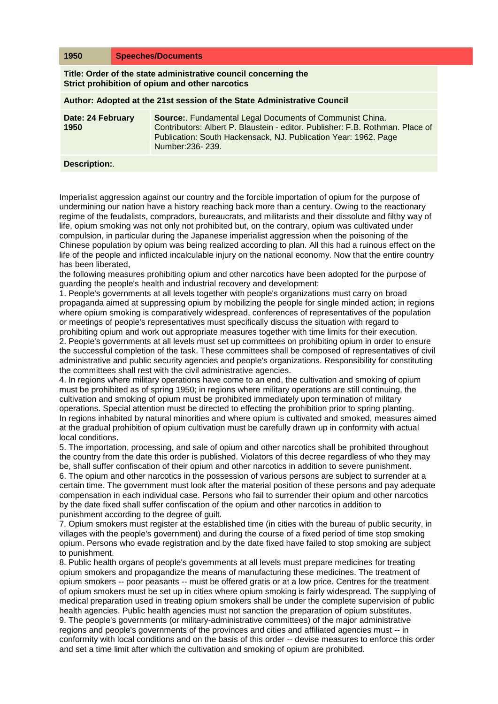| 1950                                                                                                               |  | <b>Speeches/Documents</b>                                                                                                                                                                                                                 |
|--------------------------------------------------------------------------------------------------------------------|--|-------------------------------------------------------------------------------------------------------------------------------------------------------------------------------------------------------------------------------------------|
| Title: Order of the state administrative council concerning the<br>Strict prohibition of opium and other narcotics |  |                                                                                                                                                                                                                                           |
| Author: Adopted at the 21st session of the State Administrative Council                                            |  |                                                                                                                                                                                                                                           |
| Date: 24 February<br>1950                                                                                          |  | <b>Source:.</b> Fundamental Legal Documents of Communist China.<br>Contributors: Albert P. Blaustein - editor, Publisher: F.B. Rothman, Place of<br>Publication: South Hackensack, NJ. Publication Year: 1962. Page<br>Number: 236 - 239. |
| Description:                                                                                                       |  |                                                                                                                                                                                                                                           |

Imperialist aggression against our country and the forcible importation of opium for the purpose of undermining our nation have a history reaching back more than a century. Owing to the reactionary regime of the feudalists, compradors, bureaucrats, and militarists and their dissolute and filthy way of life, opium smoking was not only not prohibited but, on the contrary, opium was cultivated under compulsion, in particular during the Japanese imperialist aggression when the poisoning of the Chinese population by opium was being realized according to plan. All this had a ruinous effect on the life of the people and inflicted incalculable injury on the national economy. Now that the entire country has been liberated,

the following measures prohibiting opium and other narcotics have been adopted for the purpose of guarding the people's health and industrial recovery and development:

1. People's governments at all levels together with people's organizations must carry on broad propaganda aimed at suppressing opium by mobilizing the people for single minded action; in regions where opium smoking is comparatively widespread, conferences of representatives of the population or meetings of people's representatives must specifically discuss the situation with regard to prohibiting opium and work out appropriate measures together with time limits for their execution.

2. People's governments at all levels must set up committees on prohibiting opium in order to ensure the successful completion of the task. These committees shall be composed of representatives of civil administrative and public security agencies and people's organizations. Responsibility for constituting the committees shall rest with the civil administrative agencies.

4. In regions where military operations have come to an end, the cultivation and smoking of opium must be prohibited as of spring 1950; in regions where military operations are still continuing, the cultivation and smoking of opium must be prohibited immediately upon termination of military operations. Special attention must be directed to effecting the prohibition prior to spring planting. In regions inhabited by natural minorities and where opium is cultivated and smoked, measures aimed at the gradual prohibition of opium cultivation must be carefully drawn up in conformity with actual local conditions.

5. The importation, processing, and sale of opium and other narcotics shall be prohibited throughout the country from the date this order is published. Violators of this decree regardless of who they may be, shall suffer confiscation of their opium and other narcotics in addition to severe punishment. 6. The opium and other narcotics in the possession of various persons are subject to surrender at a certain time. The government must look after the material position of these persons and pay adequate compensation in each individual case. Persons who fail to surrender their opium and other narcotics by the date fixed shall suffer confiscation of the opium and other narcotics in addition to punishment according to the degree of guilt.

7. Opium smokers must register at the established time (in cities with the bureau of public security, in villages with the people's government) and during the course of a fixed period of time stop smoking opium. Persons who evade registration and by the date fixed have failed to stop smoking are subject to punishment.

8. Public health organs of people's governments at all levels must prepare medicines for treating opium smokers and propagandize the means of manufacturing these medicines. The treatment of opium smokers -- poor peasants -- must be offered gratis or at a low price. Centres for the treatment of opium smokers must be set up in cities where opium smoking is fairly widespread. The supplying of medical preparation used in treating opium smokers shall be under the complete supervision of public health agencies. Public health agencies must not sanction the preparation of opium substitutes. 9. The people's governments (or military-administrative committees) of the major administrative regions and people's governments of the provinces and cities and affiliated agencies must -- in conformity with local conditions and on the basis of this order -- devise measures to enforce this order and set a time limit after which the cultivation and smoking of opium are prohibited.